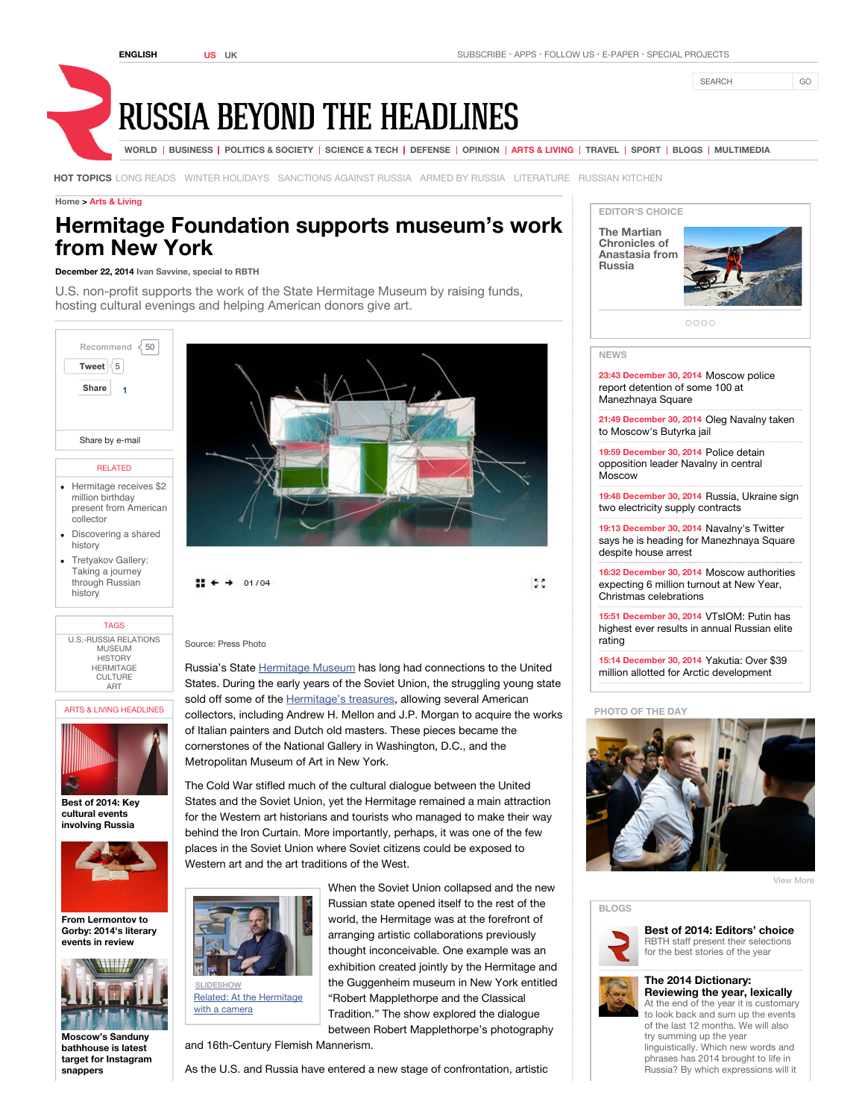SEARCH GO



**HOT TOPICS** LONG READS WINTER HOLIDAYS SANCTIONS AGAINST RUSSIA ARMED BY RUSSIA LITERATURE RUSSIAN KITCHEN

#### **Home > Arts & Living**

# **Hermitage Foundation supports museum's work from New York**

### **December 22, 2014 Ivan Savvine, special to RBTH**

U.S. non-profit supports the work of the State Hermitage Museum by raising funds, hosting cultural evenings and helping American donors give art.



#### RELATED

- Hermitage receives \$2 million birthday present from American collector
- Discovering a shared history
- Tretyakov Gallery: Taking a journey through Russian history

# TAGS

U.S.-RUSSIA RELATIONS **MUSEUM HISTORY HERMITAGE CULTURE** ART

ARTS & LIVING HEADLINES



**Best of 2014: Key cultural events involving Russia**



**From Lermontov to Gorby: 2014's literary events in review**



**Moscow's Sanduny bathhouse is latest target for Instagram snappers**



 $\mathbf{H} \leftarrow + 01/04$ 

 $\frac{1}{2}$ 

## Source: Press Photo

Russia's State Hermitage Museum has long had connections to the United States. During the early years of the Soviet Union, the struggling young state sold off some of the **Hermitage's treasures**, allowing several American collectors, including Andrew H. Mellon and J.P. Morgan to acquire the works of Italian painters and Dutch old masters. These pieces became the cornerstones of the National Gallery in Washington, D.C., and the Metropolitan Museum of Art in New York.

The Cold War stifled much of the cultural dialogue between the United States and the Soviet Union, yet the Hermitage remained a main attraction for the Western art historians and tourists who managed to make their way behind the Iron Curtain. More importantly, perhaps, it was one of the few places in the Soviet Union where Soviet citizens could be exposed to Western art and the art traditions of the West.



Related: At the Hermitage with a camera

When the Soviet Union collapsed and the new Russian state opened itself to the rest of the world, the Hermitage was at the forefront of arranging artistic collaborations previously thought inconceivable. One example was an exhibition created jointly by the Hermitage and the Guggenheim museum in New York entitled "Robert Mapplethorpe and the Classical Tradition." The show explored the dialogue between Robert Mapplethorpe's photography

and 16th-Century Flemish Mannerism.

As the U.S. and Russia have entered a new stage of confrontation, artistic



**The Martian Chronicles of Anastasia from Russia**



 $000C$ 

#### **NEWS**

**23:43 December 30, 2014** Moscow police report detention of some 100 at Manezhnaya Square

**21:49 December 30, 2014** Oleg Navalny taken to Moscow's Butyrka jail

**19:59 December 30, 2014** Police detain opposition leader Navalny in central Moscow

**19:48 December 30, 2014** Russia, Ukraine sign two electricity supply contracts

**19:13 December 30, 2014** Navalny's Twitter says he is heading for Manezhnaya Square despite house arrest

**16:32 December 30, 2014** Moscow authorities expecting 6 million turnout at New Year, Christmas celebrations

**15:51 December 30, 2014** VTsIOM: Putin has highest ever results in annual Russian elite rating

**15:14 December 30, 2014** Yakutia: Over \$39 million allotted for Arctic development

#### **PHOTO OF THE DAY**



View More

#### **BLOGS**



**Best of 2014: Editors' choice** RBTH staff present their selections for the best stories of the year

#### **The 2014 Dictionary: Reviewing the year, lexically**

At the end of the year it is customary to look back and sum up the events of the last 12 months. We will also try summing up the year linguistically. Which new words and phrases has 2014 brought to life in Russia? By which expressions will it